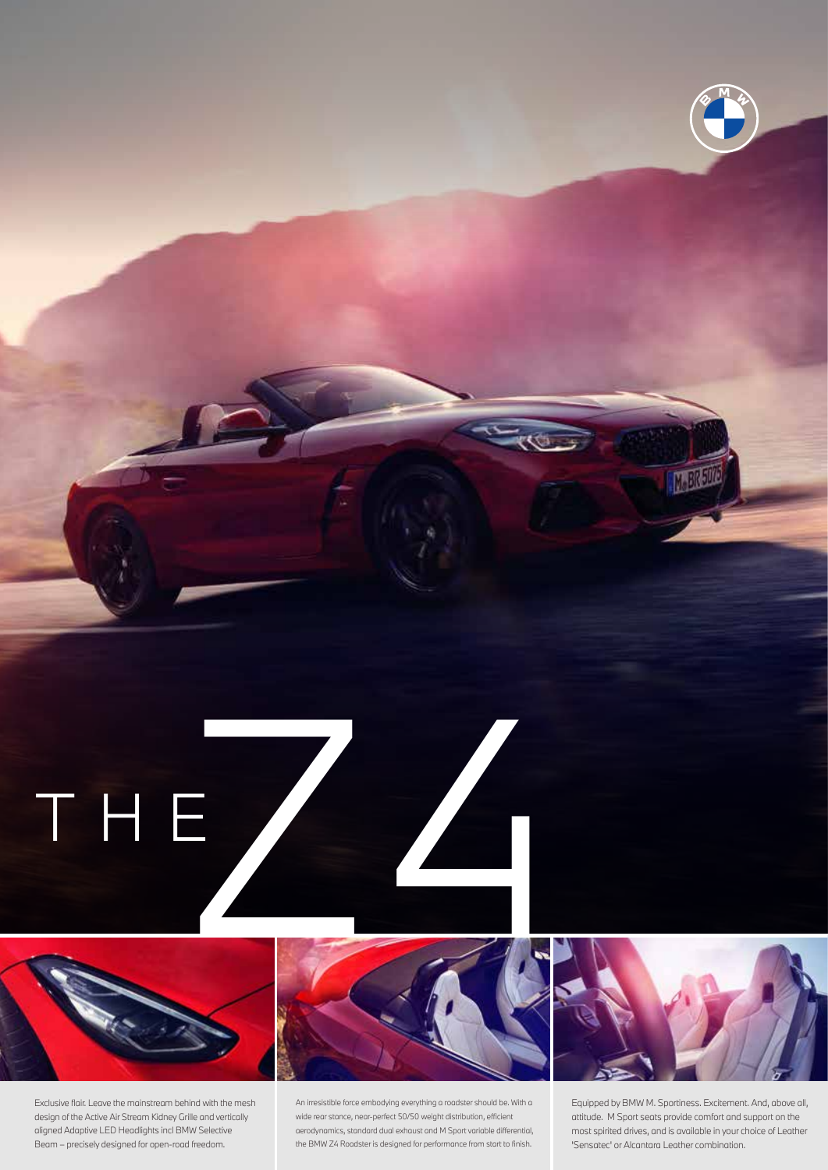

Exclusive flair. Leave the mainstream behind with the mesh design of the Active Air Stream Kidney Grille and vertically aligned Adaptive LED Headlights incl BMW Selective Beam – precisely designed for open-road freedom.

An irresistible force embodying everything a roadster should be. With a wide rear stance, near-perfect 50/50 weight distribution, efficient aerodynamics, standard dual exhaust and M Sport variable differential, the BMW Z4 Roadster is designed for performance from start to finish.

Equipped by BMW M. Sportiness. Excitement. And, above all, attitude. M Sport seats provide comfort and support on the most spirited drives, and is available in your choice of Leather 'Sensatec' or Alcantara Leather combination.